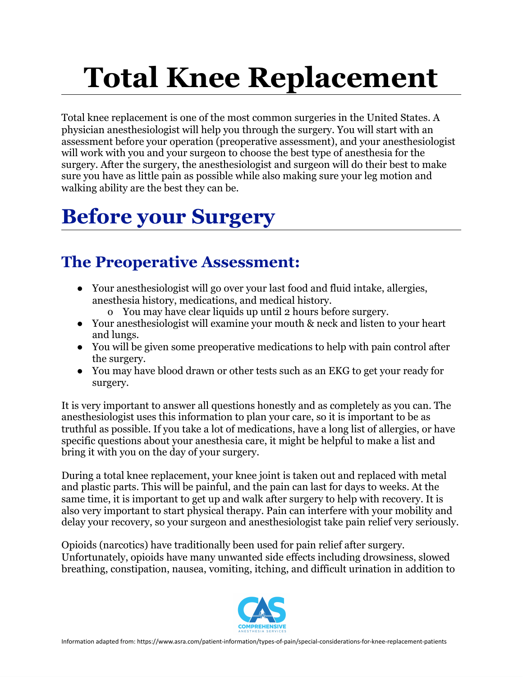# **Total Knee Replacement**

Total knee replacement is one of the most common surgeries in the United States. A physician anesthesiologist will help you through the surgery. You will start with an assessment before your operation (preoperative assessment), and your anesthesiologist will work with you and your surgeon to choose the best type of anesthesia for the surgery. After the surgery, the anesthesiologist and surgeon will do their best to make sure you have as little pain as possible while also making sure your leg motion and walking ability are the best they can be.

### **Before your Surgery**

#### **The Preoperative Assessment:**

- Your anesthesiologist will go over your last food and fluid intake, allergies, anesthesia history, medications, and medical history.
	- o You may have clear liquids up until 2 hours before surgery.
- Your anesthesiologist will examine your mouth & neck and listen to your heart and lungs.
- You will be given some preoperative medications to help with pain control after the surgery.
- You may have blood drawn or other tests such as an EKG to get your ready for surgery.

It is very important to answer all questions honestly and as completely as you can. The anesthesiologist uses this information to plan your care, so it is important to be as truthful as possible. If you take a lot of medications, have a long list of allergies, or have specific questions about your anesthesia care, it might be helpful to make a list and bring it with you on the day of your surgery.

During a total knee replacement, your knee joint is taken out and replaced with metal and plastic parts. This will be painful, and the pain can last for days to weeks. At the same time, it is important to get up and walk after surgery to help with recovery. It is also very important to start physical therapy. Pain can interfere with your mobility and delay your recovery, so your surgeon and anesthesiologist take pain relief very seriously.

Opioids (narcotics) have traditionally been used for pain relief after surgery. Unfortunately, opioids have many unwanted side effects including drowsiness, slowed breathing, constipation, nausea, vomiting, itching, and difficult urination in addition to

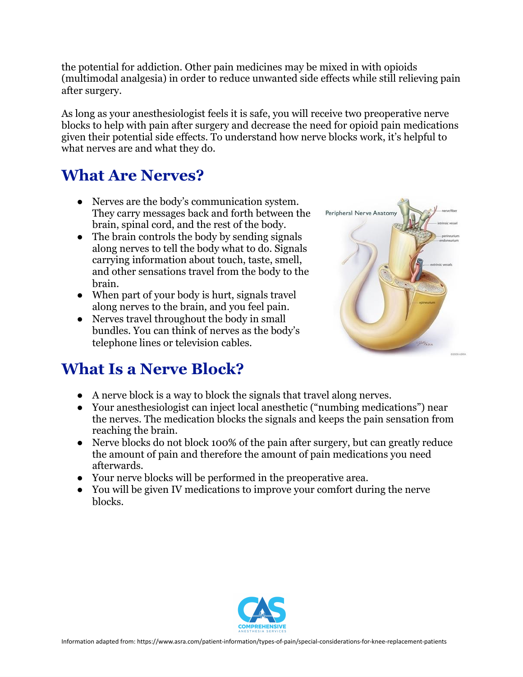the potential for addiction. Other pain medicines may be mixed in with opioids (multimodal analgesia) in order to reduce unwanted side effects while still relieving pain after surgery.

As long as your anesthesiologist feels it is safe, you will receive two preoperative nerve blocks to help with pain after surgery and decrease the need for opioid pain medications given their potential side effects. To understand how nerve blocks work, it's helpful to what nerves are and what they do.

#### **What Are Nerves?**

- **●** Nerves are the body's communication system. They carry messages back and forth between the brain, spinal cord, and the rest of the body.
- **●** The brain controls the body by sending signals along nerves to tell the body what to do. Signals carrying information about touch, taste, smell, and other sensations travel from the body to the brain.
- **●** When part of your body is hurt, signals travel along nerves to the brain, and you feel pain.
- Nerves travel throughout the body in small bundles. You can think of nerves as the body's telephone lines or television cables.

# Peripheral Nerve Anatomy

#### **What Is a Nerve Block?**

- A nerve block is a way to block the signals that travel along nerves.
- Your anesthesiologist can inject local anesthetic ("numbing medications") near the nerves. The medication blocks the signals and keeps the pain sensation from reaching the brain.
- Nerve blocks do not block 100% of the pain after surgery, but can greatly reduce the amount of pain and therefore the amount of pain medications you need afterwards.
- Your nerve blocks will be performed in the preoperative area.
- You will be given IV medications to improve your comfort during the nerve blocks.

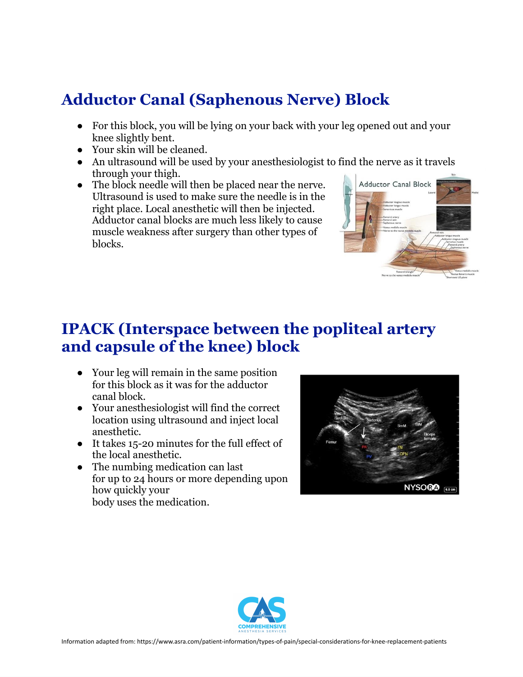#### **Adductor Canal (Saphenous Nerve) Block**

- For this block, you will be lying on your back with your leg opened out and your knee slightly bent.
- Your skin will be cleaned.
- An ultrasound will be used by your anesthesiologist to find the nerve as it travels through your thigh.
- The block needle will then be placed near the nerve. Ultrasound is used to make sure the needle is in the right place. Local anesthetic will then be injected. Adductor canal blocks are much less likely to cause muscle weakness after surgery than other types of blocks.



#### **IPACK (Interspace between the popliteal artery and capsule of the knee) block**

- Your leg will remain in the same position for this block as it was for the adductor canal block.
- Your anesthesiologist will find the correct location using ultrasound and inject local anesthetic.
- It takes 15-20 minutes for the full effect of the local anesthetic.
- The numbing medication can last for up to 24 hours or more depending upon how quickly your body uses the medication.



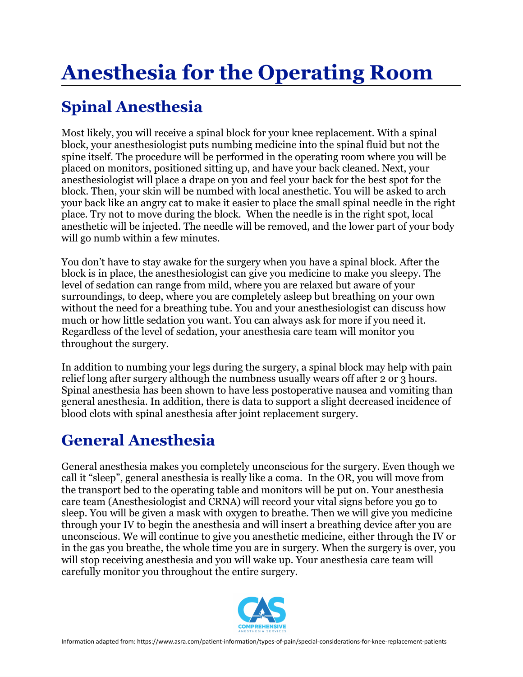# **Anesthesia for the Operating Room**

#### **Spinal Anesthesia**

Most likely, you will receive a spinal block for your knee replacement. With a spinal block, your anesthesiologist puts numbing medicine into the spinal fluid but not the spine itself. The procedure will be performed in the operating room where you will be placed on monitors, positioned sitting up, and have your back cleaned. Next, your anesthesiologist will place a drape on you and feel your back for the best spot for the block. Then, your skin will be numbed with local anesthetic. You will be asked to arch your back like an angry cat to make it easier to place the small spinal needle in the right place. Try not to move during the block. When the needle is in the right spot, local anesthetic will be injected. The needle will be removed, and the lower part of your body will go numb within a few minutes.

You don't have to stay awake for the surgery when you have a spinal block. After the block is in place, the anesthesiologist can give you medicine to make you sleepy. The level of sedation can range from mild, where you are relaxed but aware of your surroundings, to deep, where you are completely asleep but breathing on your own without the need for a breathing tube. You and your anesthesiologist can discuss how much or how little sedation you want. You can always ask for more if you need it. Regardless of the level of sedation, your anesthesia care team will monitor you throughout the surgery.

In addition to numbing your legs during the surgery, a spinal block may help with pain relief long after surgery although the numbness usually wears off after 2 or 3 hours. Spinal anesthesia has been shown to have less postoperative nausea and vomiting than general anesthesia. In addition, there is data to support a slight decreased incidence of blood clots with spinal anesthesia after joint replacement surgery.

#### **General Anesthesia**

General anesthesia makes you completely unconscious for the surgery. Even though we call it "sleep", general anesthesia is really like a coma. In the OR, you will move from the transport bed to the operating table and monitors will be put on. Your anesthesia care team (Anesthesiologist and CRNA) will record your vital signs before you go to sleep. You will be given a mask with oxygen to breathe. Then we will give you medicine through your IV to begin the anesthesia and will insert a breathing device after you are unconscious. We will continue to give you anesthetic medicine, either through the IV or in the gas you breathe, the whole time you are in surgery. When the surgery is over, you will stop receiving anesthesia and you will wake up. Your anesthesia care team will carefully monitor you throughout the entire surgery.